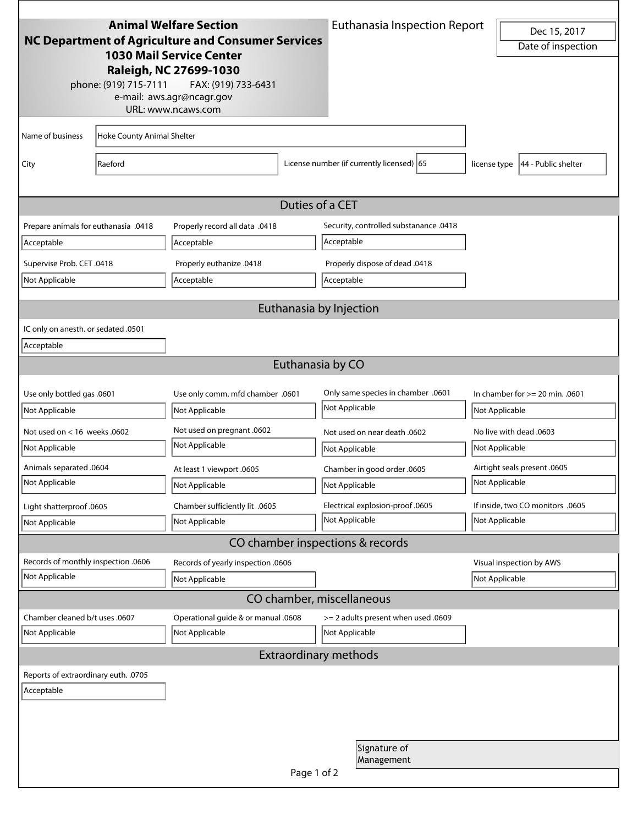|                                                                                       |                            | <b>Animal Welfare Section</b>                   | <b>Euthanasia Inspection Report</b>  |                                                                        | Dec 15, 2017 |                                   |  |
|---------------------------------------------------------------------------------------|----------------------------|-------------------------------------------------|--------------------------------------|------------------------------------------------------------------------|--------------|-----------------------------------|--|
| NC Department of Agriculture and Consumer Services<br><b>1030 Mail Service Center</b> |                            |                                                 |                                      |                                                                        |              | Date of inspection                |  |
|                                                                                       |                            | Raleigh, NC 27699-1030                          |                                      |                                                                        |              |                                   |  |
|                                                                                       | phone: (919) 715-7111      | FAX: (919) 733-6431                             |                                      |                                                                        |              |                                   |  |
|                                                                                       |                            | e-mail: aws.agr@ncagr.gov<br>URL: www.ncaws.com |                                      |                                                                        |              |                                   |  |
|                                                                                       |                            |                                                 |                                      |                                                                        |              |                                   |  |
| Name of business                                                                      | Hoke County Animal Shelter |                                                 |                                      |                                                                        |              |                                   |  |
| City                                                                                  | Raeford                    |                                                 |                                      | License number (if currently licensed) 65                              | license type | 44 - Public shelter               |  |
|                                                                                       |                            |                                                 |                                      |                                                                        |              |                                   |  |
|                                                                                       |                            |                                                 | Duties of a CET                      |                                                                        |              |                                   |  |
| Prepare animals for euthanasia .0418                                                  |                            | Properly record all data .0418                  |                                      | Security, controlled substanance .0418                                 |              |                                   |  |
| Acceptable                                                                            |                            | Acceptable                                      |                                      | Acceptable                                                             |              |                                   |  |
|                                                                                       |                            |                                                 |                                      |                                                                        |              |                                   |  |
| Supervise Prob. CET .0418                                                             |                            | Properly euthanize .0418<br>Acceptable          |                                      | Properly dispose of dead .0418                                         |              |                                   |  |
| Not Applicable                                                                        |                            |                                                 |                                      | Acceptable                                                             |              |                                   |  |
|                                                                                       |                            |                                                 |                                      | Euthanasia by Injection                                                |              |                                   |  |
| IC only on anesth. or sedated .0501                                                   |                            |                                                 |                                      |                                                                        |              |                                   |  |
| Acceptable                                                                            |                            |                                                 |                                      |                                                                        |              |                                   |  |
|                                                                                       |                            |                                                 | Euthanasia by CO                     |                                                                        |              |                                   |  |
|                                                                                       |                            |                                                 |                                      |                                                                        |              |                                   |  |
| Use only bottled gas .0601                                                            |                            | Use only comm. mfd chamber .0601                |                                      | Only same species in chamber .0601<br>Not Applicable<br>Not Applicable |              | In chamber for $>= 20$ min. .0601 |  |
| Not Applicable                                                                        |                            | Not Applicable                                  |                                      |                                                                        |              |                                   |  |
| Not used on $<$ 16 weeks .0602                                                        |                            | Not used on pregnant .0602                      |                                      | Not used on near death .0602                                           |              | No live with dead .0603           |  |
| Not Applicable                                                                        |                            | Not Applicable                                  |                                      | Not Applicable                                                         |              | Not Applicable                    |  |
| Animals separated .0604                                                               |                            | At least 1 viewport .0605                       |                                      | Chamber in good order .0605                                            |              | Airtight seals present .0605      |  |
| Not Applicable                                                                        |                            | Not Applicable                                  |                                      | Not Applicable                                                         |              | Not Applicable                    |  |
| Light shatterproof .0605                                                              |                            | Chamber sufficiently lit .0605                  |                                      | Electrical explosion-proof .0605                                       |              | If inside, two CO monitors .0605  |  |
| Not Applicable                                                                        |                            | Not Applicable                                  |                                      | Not Applicable                                                         |              | Not Applicable                    |  |
|                                                                                       |                            |                                                 |                                      | CO chamber inspections & records                                       |              |                                   |  |
| Records of monthly inspection .0606                                                   |                            | Records of yearly inspection .0606              |                                      |                                                                        |              | Visual inspection by AWS          |  |
| Not Applicable                                                                        |                            | Not Applicable                                  |                                      |                                                                        |              | Not Applicable                    |  |
|                                                                                       |                            |                                                 |                                      | CO chamber, miscellaneous                                              |              |                                   |  |
| Chamber cleaned b/t uses .0607<br>Operational guide & or manual .0608                 |                            |                                                 | > = 2 adults present when used .0609 |                                                                        |              |                                   |  |
| Not Applicable                                                                        |                            | Not Applicable                                  |                                      | Not Applicable                                                         |              |                                   |  |
|                                                                                       |                            |                                                 |                                      | <b>Extraordinary methods</b>                                           |              |                                   |  |
| Reports of extraordinary euth. .0705                                                  |                            |                                                 |                                      |                                                                        |              |                                   |  |
| Acceptable                                                                            |                            |                                                 |                                      |                                                                        |              |                                   |  |
|                                                                                       |                            |                                                 |                                      |                                                                        |              |                                   |  |
|                                                                                       |                            |                                                 |                                      |                                                                        |              |                                   |  |
|                                                                                       |                            |                                                 |                                      | Signature of                                                           |              |                                   |  |
|                                                                                       |                            |                                                 |                                      | Management                                                             |              |                                   |  |
|                                                                                       |                            |                                                 | Page 1 of 2                          |                                                                        |              |                                   |  |